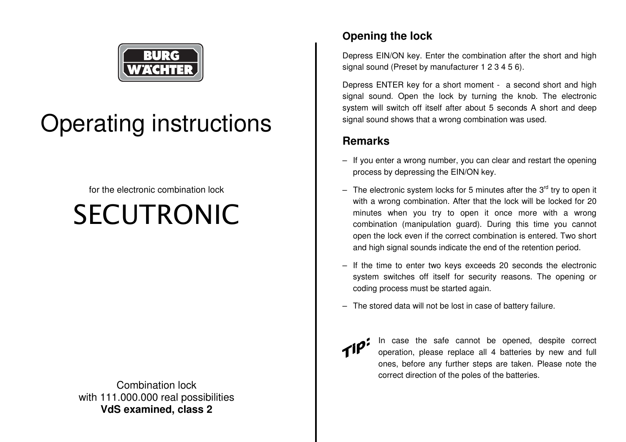

## Operating instructions

for the electronic combination lock

# SECUTRONIC

Combination lock with 111.000.000 real possibilities **VdS examined, class 2** 

## **Opening the lock**

Depress EIN/ON key. Enter the combination after the short and high signal sound (Preset by manufacturer 1 2 3 4 5 6).

Depress ENTER key for a short moment - a second short and high signal sound. Open the lock by turning the knob. The electronic system will switch off itself after about 5 seconds A short and deep signal sound shows that a wrong combination was used.

## **Remarks**

- If you enter a wrong number, you can clear and restart the opening process by depressing the EIN/ON key.
- The electronic system locks for 5 minutes after the  $3<sup>rd</sup>$  try to open it with a wrong combination. After that the lock will be locked for 20 minutes when you try to open it once more with a wrong combination (manipulation guard). During this time you cannot open the lock even if the correct combination is entered. Two short and high signal sounds indicate the end of the retention period.
- If the time to enter two keys exceeds 20 seconds the electronic system switches off itself for security reasons. The opening or coding process must be started again.
- The stored data will not be lost in case of battery failure.



In case the safe cannot be opened, despite correct operation, please replace all 4 batteries by new and full ones, before any further steps are taken. Please note the correct direction of the poles of the batteries.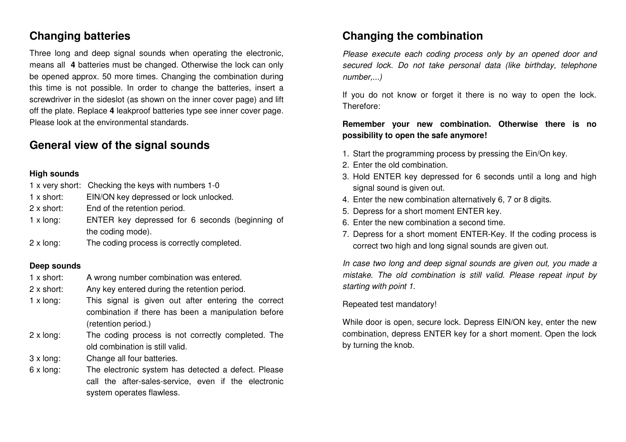## **Changing batteries**

Three long and deep signal sounds when operating the electronic, means all **4** batteries must be changed. Otherwise the lock can only be opened approx. 50 more times. Changing the combination during this time is not possible. In order to change the batteries, insert a screwdriver in the sideslot (as shown on the inner cover page) and lift off the plate. Replace **4** leakproof batteries type see inner cover page. Please look at the environmental standards.

### **General view of the signal sounds**

#### **High sounds**

|                  | 1 x very short: Checking the keys with numbers 1-0 |
|------------------|----------------------------------------------------|
| 1 x short:       | EIN/ON key depressed or lock unlocked.             |
| 2 x short:       | End of the retention period.                       |
| $1 \times$ long: | ENTER key depressed for 6 seconds (beginning of    |
|                  | the coding mode).                                  |
| $2 \times$ long: | The coding process is correctly completed.         |

#### **Deep sounds**

- 1 x short: A wrong number combination was entered.
- 2 x short: Any key entered during the retention period.
- 1 x long: This signal is given out after entering the correct combination if there has been a manipulation before(retention period.)
- 2 x long: The coding process is not correctly completed. The old combination is still valid.
- 3 x long: Change all four batteries.
- 6 x long: The electronic system has detected a defect. Please call the after-sales-service, even if the electronic system operates flawless.

## **Changing the combination**

Please execute each coding process only by an opened door and secured lock. Do not take personal data (like birthday, telephone number,...)

If you do not know or forget it there is no way to open the lock. Therefore:

#### **Remember your new combination. Otherwise there is no possibility to open the safe anymore!**

- 1. Start the programming process by pressing the Ein/On key.
- 2. Enter the old combination.
- 3. Hold ENTER key depressed for 6 seconds until a long and high signal sound is given out.
- 4. Enter the new combination alternatively 6, 7 or 8 digits.
- 5. Depress for a short moment ENTER key.
- 6. Enter the new combination a second time.
- 7. Depress for a short moment ENTER-Key. If the coding process is correct two high and long signal sounds are given out.

In case two long and deep signal sounds are given out, you made a mistake. The old combination is still valid. Please repeat input by starting with point 1.

#### Repeated test mandatory!

While door is open, secure lock. Depress EIN/ON key, enter the new combination, depress ENTER key for a short moment. Open the lock by turning the knob.